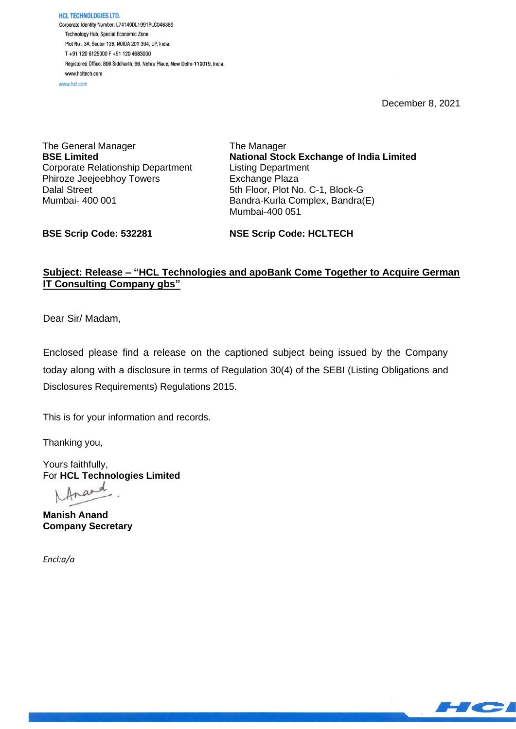**HCL TECHNOLOGIES LTD.** Corporate Identity Number: L74140DL1991PLC046369 Technology Hub, Special Economic Zone Plot No: 3A, Sector 126, NOIDA 201 304, UP, India. T+91 120 6125000 F+91 120 4683030 Registered Office: 806 Siddharth, 96, Nehru Place, New Delhi-110019, India. www.hcltech.com www.hel.com

December 8, 2021

The General Manager **BSE Limited** Corporate Relationship Department Phiroze Jeejeebhoy Towers Dalal Street Mumbai- 400 001

The Manager **National Stock Exchange of India Limited** Listing Department Exchange Plaza 5th Floor, Plot No. C-1, Block-G Bandra-Kurla Complex, Bandra(E) Mumbai-400 051

**BSE Scrip Code: 532281**

**NSE Scrip Code: HCLTECH**

## **Subject: Release – "HCL Technologies and apoBank Come Together to Acquire German IT Consulting Company gbs"**

Dear Sir/ Madam,

Enclosed please find a release on the captioned subject being issued by the Company today along with a disclosure in terms of Regulation 30(4) of the SEBI (Listing Obligations and Disclosures Requirements) Regulations 2015.

This is for your information and records.

Thanking you,

Yours faithfully, For **HCL Technologies Limited**

Anard

**Manish Anand Company Secretary**

*Encl:a/a*

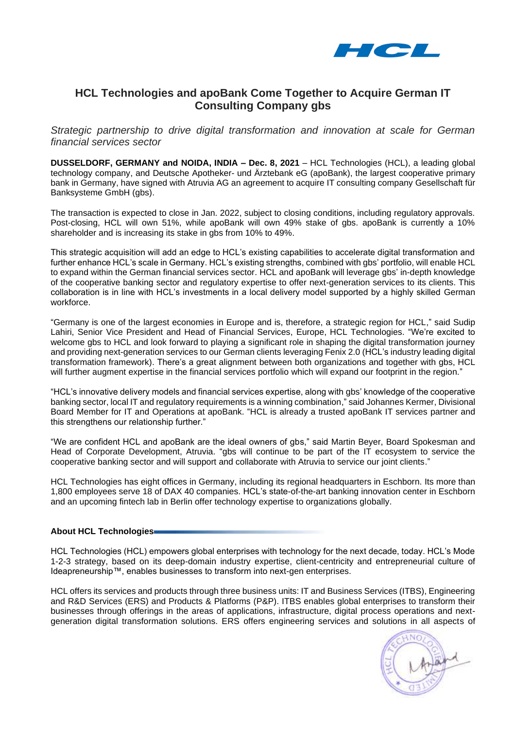

# **HCL Technologies and apoBank Come Together to Acquire German IT Consulting Company gbs**

*Strategic partnership to drive digital transformation and innovation at scale for German financial services sector*

**DUSSELDORF, GERMANY and NOIDA, INDIA – Dec. 8, 2021** – HCL Technologies (HCL), a leading global technology company, and Deutsche Apotheker- und Ärztebank eG (apoBank), the largest cooperative primary bank in Germany, have signed with Atruvia AG an agreement to acquire IT consulting company Gesellschaft für Banksysteme GmbH (gbs).

The transaction is expected to close in Jan. 2022, subject to closing conditions, including regulatory approvals. Post-closing, HCL will own 51%, while apoBank will own 49% stake of gbs. apoBank is currently a 10% shareholder and is increasing its stake in gbs from 10% to 49%.

This strategic acquisition will add an edge to HCL's existing capabilities to accelerate digital transformation and further enhance HCL's scale in Germany. HCL's existing strengths, combined with gbs' portfolio, will enable HCL to expand within the German financial services sector. HCL and apoBank will leverage gbs' in-depth knowledge of the cooperative banking sector and regulatory expertise to offer next-generation services to its clients. This collaboration is in line with HCL's investments in a local delivery model supported by a highly skilled German workforce.

"Germany is one of the largest economies in Europe and is, therefore, a strategic region for HCL," said Sudip Lahiri, Senior Vice President and Head of Financial Services, Europe, HCL Technologies. "We're excited to welcome gbs to HCL and look forward to playing a significant role in shaping the digital transformation journey and providing next-generation services to our German clients leveraging Fenix 2.0 (HCL's industry leading digital transformation framework). There's a great alignment between both organizations and together with gbs, HCL will further augment expertise in the financial services portfolio which will expand our footprint in the region."

"HCL's innovative delivery models and financial services expertise, along with gbs' knowledge of the cooperative banking sector, local IT and regulatory requirements is a winning combination," said Johannes Kermer, Divisional Board Member for IT and Operations at apoBank. "HCL is already a trusted apoBank IT services partner and this strengthens our relationship further."

"We are confident HCL and apoBank are the ideal owners of gbs," said Martin Beyer, Board Spokesman and Head of Corporate Development, Atruvia. "gbs will continue to be part of the IT ecosystem to service the cooperative banking sector and will support and collaborate with Atruvia to service our joint clients."

HCL Technologies has eight offices in Germany, including its regional headquarters in Eschborn. Its more than 1,800 employees serve 18 of DAX 40 companies. HCL's state-of-the-art banking innovation center in Eschborn and an upcoming fintech lab in Berlin offer technology expertise to organizations globally.

## **About HCL Technologies**

HCL Technologies (HCL) empowers global enterprises with technology for the next decade, today. HCL's Mode 1-2-3 strategy, based on its deep-domain industry expertise, client-centricity and entrepreneurial culture of Ideapreneurship™, enables businesses to transform into next-gen enterprises.

HCL offers its services and products through three business units: IT and Business Services (ITBS), Engineering and R&D Services (ERS) and Products & Platforms (P&P). ITBS enables global enterprises to transform their businesses through offerings in the areas of applications, infrastructure, digital process operations and nextgeneration digital transformation solutions. ERS offers engineering services and solutions in all aspects of

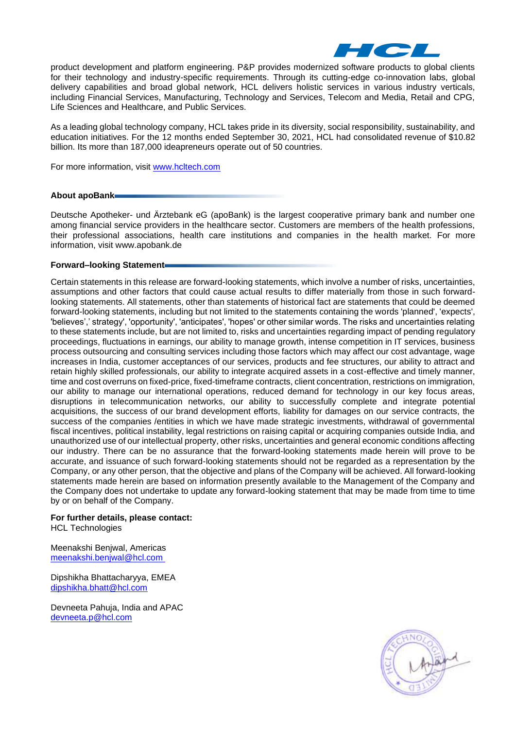

product development and platform engineering. P&P provides modernized software products to global clients for their technology and industry-specific requirements. Through its cutting-edge co-innovation labs, global delivery capabilities and broad global network, HCL delivers holistic services in various industry verticals, including Financial Services, Manufacturing, Technology and Services, Telecom and Media, Retail and CPG, Life Sciences and Healthcare, and Public Services.

As a leading global technology company, HCL takes pride in its diversity, social responsibility, sustainability, and education initiatives. For the 12 months ended September 30, 2021, HCL had consolidated revenue of \$10.82 billion. Its more than 187,000 ideapreneurs operate out of 50 countries.

For more information, visit [www.hcltech.com](http://www.hcltech.com/) 

#### **About apoBank**

Deutsche Apotheker- und Ärztebank eG (apoBank) is the largest cooperative primary bank and number one among financial service providers in the healthcare sector. Customers are members of the health professions, their professional associations, health care institutions and companies in the health market. For more information, visit www.apobank.de

### **Forward–looking Statement**

Certain statements in this release are forward-looking statements, which involve a number of risks, uncertainties, assumptions and other factors that could cause actual results to differ materially from those in such forwardlooking statements. All statements, other than statements of historical fact are statements that could be deemed forward-looking statements, including but not limited to the statements containing the words 'planned', 'expects', 'believes',' strategy', 'opportunity', 'anticipates', 'hopes' or other similar words. The risks and uncertainties relating to these statements include, but are not limited to, risks and uncertainties regarding impact of pending regulatory proceedings, fluctuations in earnings, our ability to manage growth, intense competition in IT services, business process outsourcing and consulting services including those factors which may affect our cost advantage, wage increases in India, customer acceptances of our services, products and fee structures, our ability to attract and retain highly skilled professionals, our ability to integrate acquired assets in a cost-effective and timely manner, time and cost overruns on fixed-price, fixed-timeframe contracts, client concentration, restrictions on immigration, our ability to manage our international operations, reduced demand for technology in our key focus areas, disruptions in telecommunication networks, our ability to successfully complete and integrate potential acquisitions, the success of our brand development efforts, liability for damages on our service contracts, the success of the companies /entities in which we have made strategic investments, withdrawal of governmental fiscal incentives, political instability, legal restrictions on raising capital or acquiring companies outside India, and unauthorized use of our intellectual property, other risks, uncertainties and general economic conditions affecting our industry. There can be no assurance that the forward-looking statements made herein will prove to be accurate, and issuance of such forward-looking statements should not be regarded as a representation by the Company, or any other person, that the objective and plans of the Company will be achieved. All forward-looking statements made herein are based on information presently available to the Management of the Company and the Company does not undertake to update any forward-looking statement that may be made from time to time by or on behalf of the Company.

**For further details, please contact:** HCL Technologies

Meenakshi Benjwal, Americas

[meenakshi.benjwal@hcl.com](mailto:meenakshi.benjwal@hcl.com)

Dipshikha Bhattacharyya, EMEA [dipshikha.bhatt@hcl.com](mailto:dipshikha.bhatt@hcl.com)

Devneeta Pahuja, India and APAC [devneeta.p@hcl.com](mailto:devneeta.p@hcl.com)

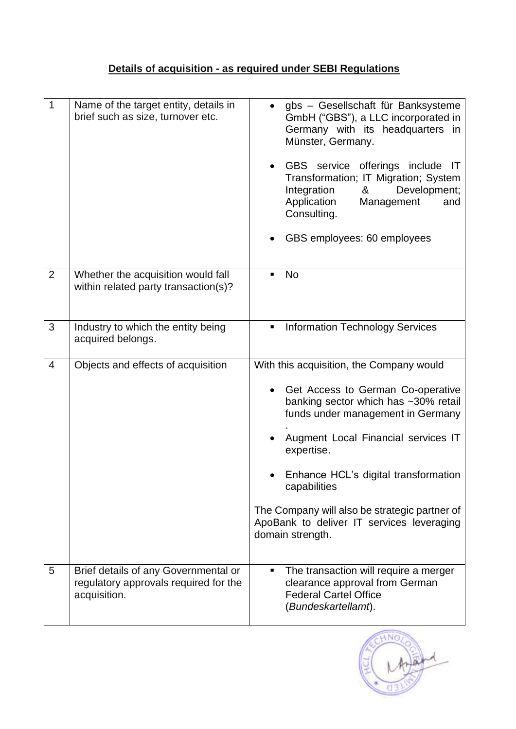# **Details of acquisition - as required under SEBI Regulations**

| 1              | Name of the target entity, details in<br>brief such as size, turnover etc.                    | gbs - Gesellschaft für Banksysteme<br>GmbH ("GBS"), a LLC incorporated in<br>Germany with its headquarters in<br>Münster, Germany.<br>GBS service offerings include IT<br>Transformation; IT Migration; System<br>Integration<br>Development;<br>&<br>Application<br>Management<br>and<br>Consulting.<br>GBS employees: 60 employees                                                      |
|----------------|-----------------------------------------------------------------------------------------------|-------------------------------------------------------------------------------------------------------------------------------------------------------------------------------------------------------------------------------------------------------------------------------------------------------------------------------------------------------------------------------------------|
| $\overline{2}$ | Whether the acquisition would fall<br>within related party transaction(s)?                    | <b>No</b><br>٠                                                                                                                                                                                                                                                                                                                                                                            |
| 3              | Industry to which the entity being<br>acquired belongs.                                       | <b>Information Technology Services</b><br>٠                                                                                                                                                                                                                                                                                                                                               |
| $\overline{4}$ | Objects and effects of acquisition                                                            | With this acquisition, the Company would<br>Get Access to German Co-operative<br>banking sector which has ~30% retail<br>funds under management in Germany<br>Augment Local Financial services IT<br>expertise.<br>Enhance HCL's digital transformation<br>capabilities<br>The Company will also be strategic partner of<br>ApoBank to deliver IT services leveraging<br>domain strength. |
| 5              | Brief details of any Governmental or<br>regulatory approvals required for the<br>acquisition. | The transaction will require a merger<br>٠<br>clearance approval from German<br><b>Federal Cartel Office</b><br>(Bundeskartellamt).                                                                                                                                                                                                                                                       |